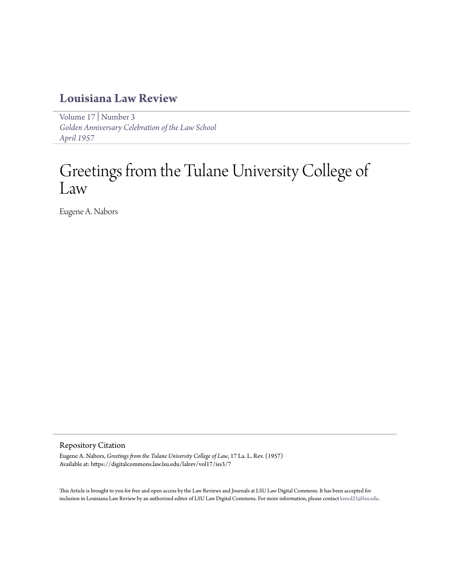### **[Louisiana Law Review](https://digitalcommons.law.lsu.edu/lalrev)**

[Volume 17](https://digitalcommons.law.lsu.edu/lalrev/vol17) | [Number 3](https://digitalcommons.law.lsu.edu/lalrev/vol17/iss3) *[Golden Anniversary Celebration of the Law School](https://digitalcommons.law.lsu.edu/lalrev/vol17/iss3) [April 1957](https://digitalcommons.law.lsu.edu/lalrev/vol17/iss3)*

# Greetings from the Tulane University College of Law

Eugene A. Nabors

### Repository Citation

Eugene A. Nabors, *Greetings from the Tulane University College of Law*, 17 La. L. Rev. (1957) Available at: https://digitalcommons.law.lsu.edu/lalrev/vol17/iss3/7

This Article is brought to you for free and open access by the Law Reviews and Journals at LSU Law Digital Commons. It has been accepted for inclusion in Louisiana Law Review by an authorized editor of LSU Law Digital Commons. For more information, please contact [kreed25@lsu.edu](mailto:kreed25@lsu.edu).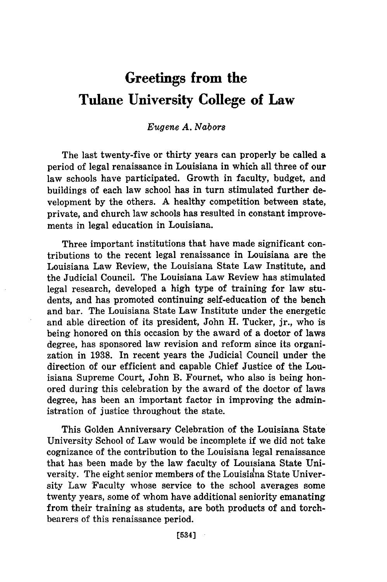## **Greetings from the Tulane University College of Law**

#### Eugene A. *Nabora*

The last twenty-five or thirty years can properly be called a period of legal renaissance in Louisiana in which all three of our law schools have participated. Growth in faculty, budget, and buildings of each law school has in turn stimulated further development by the others. A healthy competition between state, private, and church law schools has resulted in constant improvements in legal education in Louisiana.

Three important institutions that have made significant contributions to the recent legal renaissance in Louisiana are the Louisiana Law Review, the Louisiana State Law Institute, and the Judicial Council. The Louisiana Law Review has stimulated legal research, developed a high type of training for law students, and has promoted continuing self-education of the bench and bar. The Louisiana State Law Institute under the energetic and able direction of its president, John H. Tucker, jr., who is being honored on this occasion by the award of a doctor of laws degree, has sponsored law revision and reform since its organization in 1938. In recent years the Judicial Council under the direction of our efficient and capable Chief Justice of the Louisiana Supreme Court, John B. Fournet, who also is being honored during this celebration by the award of the doctor of laws degree, has been an important factor in improving the administration of justice throughout the state.

This Golden Anniversary Celebration of the Louisiana State University School of Law would be incomplete if we did not take cognizance of the contribution to the Louisiana legal renaissance that has been made by the law faculty of Louisiana State University. The eight senior members of the Louisiana State University Law Faculty whose service to the school averages some twenty years, some of whom have additional seniority emanating from their training as students, are both products of and torchbearers of this renaissance period.